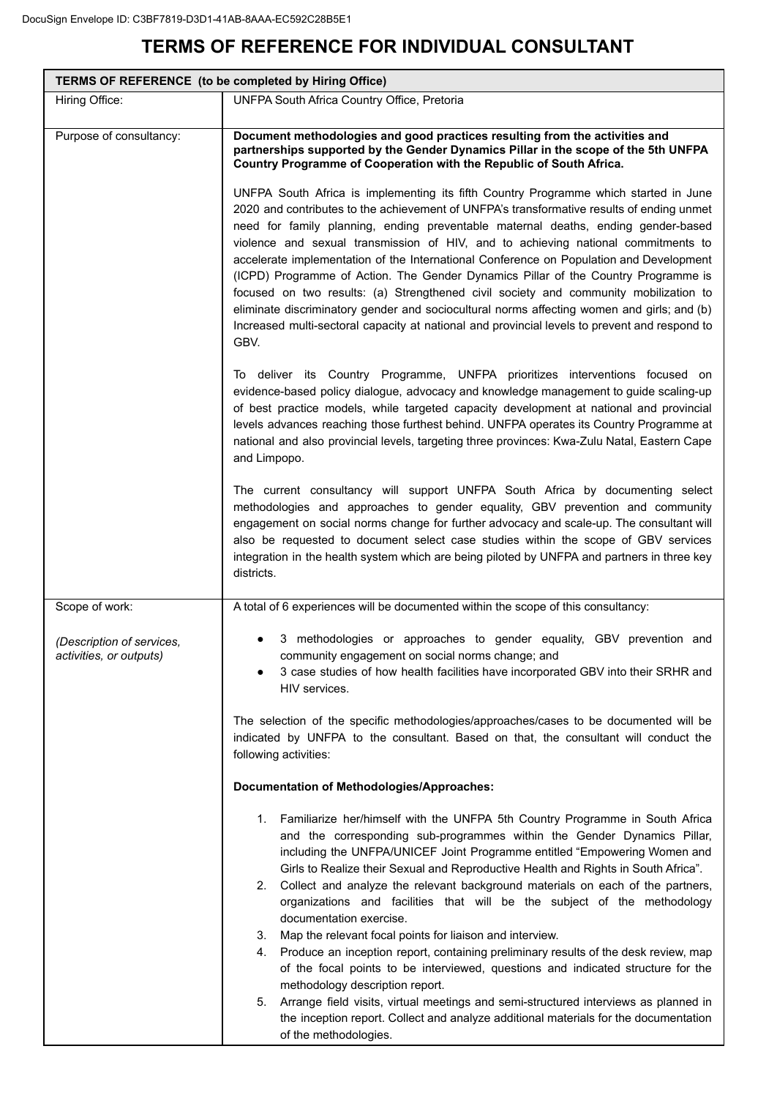## **TERMS OF REFERENCE FOR INDIVIDUAL CONSULTANT**

| TERMS OF REFERENCE (to be completed by Hiring Office)                  |                                                                                                                                                                                                                                                                                                                                                                                                                                                                                                                                                                                                                                                                                                                                                                                                                                                                                                                                                                                                                                                                                                                                                                                                                                                                                                                                                                                                                                                                                                                                                                                                                                                                                                                                                                                                                                                                                                                                                                                                                                         |  |
|------------------------------------------------------------------------|-----------------------------------------------------------------------------------------------------------------------------------------------------------------------------------------------------------------------------------------------------------------------------------------------------------------------------------------------------------------------------------------------------------------------------------------------------------------------------------------------------------------------------------------------------------------------------------------------------------------------------------------------------------------------------------------------------------------------------------------------------------------------------------------------------------------------------------------------------------------------------------------------------------------------------------------------------------------------------------------------------------------------------------------------------------------------------------------------------------------------------------------------------------------------------------------------------------------------------------------------------------------------------------------------------------------------------------------------------------------------------------------------------------------------------------------------------------------------------------------------------------------------------------------------------------------------------------------------------------------------------------------------------------------------------------------------------------------------------------------------------------------------------------------------------------------------------------------------------------------------------------------------------------------------------------------------------------------------------------------------------------------------------------------|--|
| Hiring Office:                                                         | UNFPA South Africa Country Office, Pretoria                                                                                                                                                                                                                                                                                                                                                                                                                                                                                                                                                                                                                                                                                                                                                                                                                                                                                                                                                                                                                                                                                                                                                                                                                                                                                                                                                                                                                                                                                                                                                                                                                                                                                                                                                                                                                                                                                                                                                                                             |  |
| Purpose of consultancy:                                                | Document methodologies and good practices resulting from the activities and<br>partnerships supported by the Gender Dynamics Pillar in the scope of the 5th UNFPA<br>Country Programme of Cooperation with the Republic of South Africa.<br>UNFPA South Africa is implementing its fifth Country Programme which started in June<br>2020 and contributes to the achievement of UNFPA's transformative results of ending unmet<br>need for family planning, ending preventable maternal deaths, ending gender-based<br>violence and sexual transmission of HIV, and to achieving national commitments to<br>accelerate implementation of the International Conference on Population and Development<br>(ICPD) Programme of Action. The Gender Dynamics Pillar of the Country Programme is<br>focused on two results: (a) Strengthened civil society and community mobilization to<br>eliminate discriminatory gender and sociocultural norms affecting women and girls; and (b)<br>Increased multi-sectoral capacity at national and provincial levels to prevent and respond to<br>GBV.<br>To deliver its Country Programme, UNFPA prioritizes interventions focused on<br>evidence-based policy dialogue, advocacy and knowledge management to guide scaling-up<br>of best practice models, while targeted capacity development at national and provincial<br>levels advances reaching those furthest behind. UNFPA operates its Country Programme at<br>national and also provincial levels, targeting three provinces: Kwa-Zulu Natal, Eastern Cape<br>and Limpopo.<br>The current consultancy will support UNFPA South Africa by documenting select<br>methodologies and approaches to gender equality, GBV prevention and community<br>engagement on social norms change for further advocacy and scale-up. The consultant will<br>also be requested to document select case studies within the scope of GBV services<br>integration in the health system which are being piloted by UNFPA and partners in three key<br>districts. |  |
|                                                                        |                                                                                                                                                                                                                                                                                                                                                                                                                                                                                                                                                                                                                                                                                                                                                                                                                                                                                                                                                                                                                                                                                                                                                                                                                                                                                                                                                                                                                                                                                                                                                                                                                                                                                                                                                                                                                                                                                                                                                                                                                                         |  |
| Scope of work:<br>(Description of services,<br>activities, or outputs) | A total of 6 experiences will be documented within the scope of this consultancy:<br>3 methodologies or approaches to gender equality, GBV prevention and<br>community engagement on social norms change; and<br>3 case studies of how health facilities have incorporated GBV into their SRHR and<br>HIV services.<br>The selection of the specific methodologies/approaches/cases to be documented will be<br>indicated by UNFPA to the consultant. Based on that, the consultant will conduct the<br>following activities:                                                                                                                                                                                                                                                                                                                                                                                                                                                                                                                                                                                                                                                                                                                                                                                                                                                                                                                                                                                                                                                                                                                                                                                                                                                                                                                                                                                                                                                                                                           |  |
|                                                                        | <b>Documentation of Methodologies/Approaches:</b>                                                                                                                                                                                                                                                                                                                                                                                                                                                                                                                                                                                                                                                                                                                                                                                                                                                                                                                                                                                                                                                                                                                                                                                                                                                                                                                                                                                                                                                                                                                                                                                                                                                                                                                                                                                                                                                                                                                                                                                       |  |
|                                                                        | 1. Familiarize her/himself with the UNFPA 5th Country Programme in South Africa<br>and the corresponding sub-programmes within the Gender Dynamics Pillar,<br>including the UNFPA/UNICEF Joint Programme entitled "Empowering Women and<br>Girls to Realize their Sexual and Reproductive Health and Rights in South Africa".<br>Collect and analyze the relevant background materials on each of the partners,<br>2.<br>organizations and facilities that will be the subject of the methodology<br>documentation exercise.<br>Map the relevant focal points for liaison and interview.<br>3.<br>Produce an inception report, containing preliminary results of the desk review, map<br>4.<br>of the focal points to be interviewed, questions and indicated structure for the<br>methodology description report.<br>Arrange field visits, virtual meetings and semi-structured interviews as planned in<br>5.<br>the inception report. Collect and analyze additional materials for the documentation<br>of the methodologies.                                                                                                                                                                                                                                                                                                                                                                                                                                                                                                                                                                                                                                                                                                                                                                                                                                                                                                                                                                                                        |  |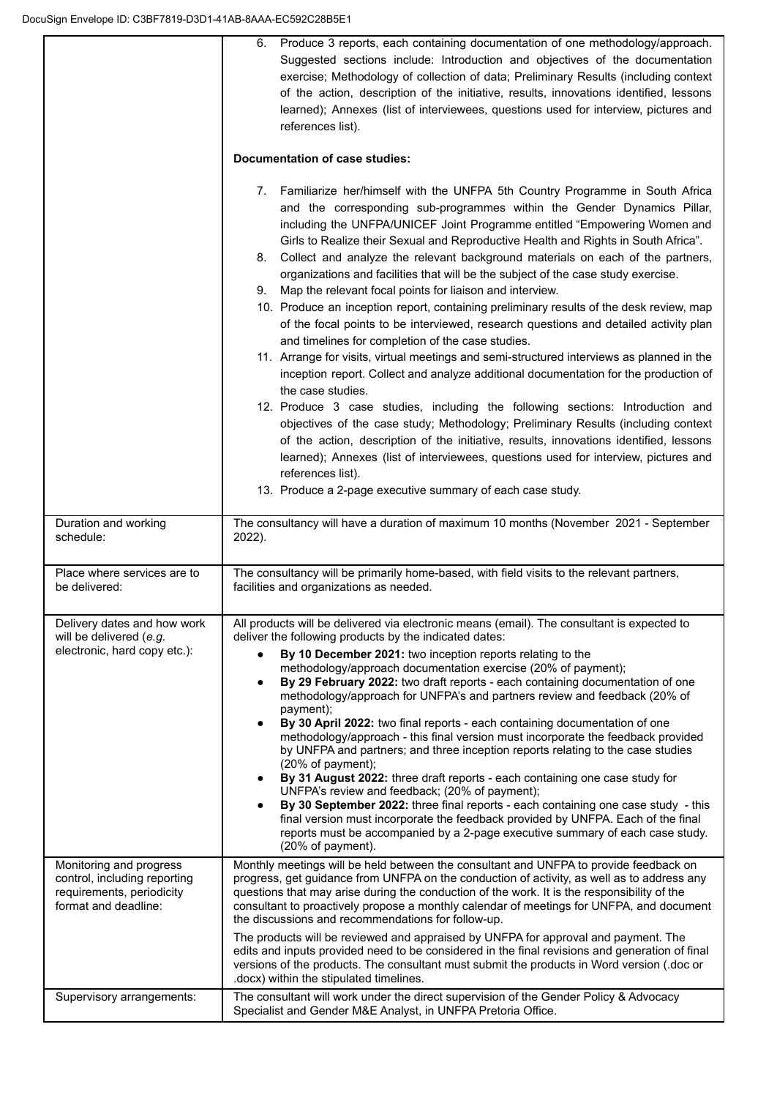|                                                                                   | Produce 3 reports, each containing documentation of one methodology/approach.<br>6.<br>Suggested sections include: Introduction and objectives of the documentation<br>exercise; Methodology of collection of data; Preliminary Results (including context<br>of the action, description of the initiative, results, innovations identified, lessons<br>learned); Annexes (list of interviewees, questions used for interview, pictures and<br>references list).<br><b>Documentation of case studies:</b>                                                                                                                                                                                                                                                                                                                                                                                                                                                                                                                                                                                                                                                                                                                                                                                                                                                                                                                                                                    |
|-----------------------------------------------------------------------------------|------------------------------------------------------------------------------------------------------------------------------------------------------------------------------------------------------------------------------------------------------------------------------------------------------------------------------------------------------------------------------------------------------------------------------------------------------------------------------------------------------------------------------------------------------------------------------------------------------------------------------------------------------------------------------------------------------------------------------------------------------------------------------------------------------------------------------------------------------------------------------------------------------------------------------------------------------------------------------------------------------------------------------------------------------------------------------------------------------------------------------------------------------------------------------------------------------------------------------------------------------------------------------------------------------------------------------------------------------------------------------------------------------------------------------------------------------------------------------|
|                                                                                   |                                                                                                                                                                                                                                                                                                                                                                                                                                                                                                                                                                                                                                                                                                                                                                                                                                                                                                                                                                                                                                                                                                                                                                                                                                                                                                                                                                                                                                                                              |
|                                                                                   | Familiarize her/himself with the UNFPA 5th Country Programme in South Africa<br>7.<br>and the corresponding sub-programmes within the Gender Dynamics Pillar,<br>including the UNFPA/UNICEF Joint Programme entitled "Empowering Women and<br>Girls to Realize their Sexual and Reproductive Health and Rights in South Africa".<br>Collect and analyze the relevant background materials on each of the partners,<br>8.<br>organizations and facilities that will be the subject of the case study exercise.<br>Map the relevant focal points for liaison and interview.<br>9.<br>10. Produce an inception report, containing preliminary results of the desk review, map<br>of the focal points to be interviewed, research questions and detailed activity plan<br>and timelines for completion of the case studies.<br>11. Arrange for visits, virtual meetings and semi-structured interviews as planned in the<br>inception report. Collect and analyze additional documentation for the production of<br>the case studies.<br>12. Produce 3 case studies, including the following sections: Introduction and<br>objectives of the case study; Methodology; Preliminary Results (including context<br>of the action, description of the initiative, results, innovations identified, lessons<br>learned); Annexes (list of interviewees, questions used for interview, pictures and<br>references list).<br>13. Produce a 2-page executive summary of each case study. |
|                                                                                   |                                                                                                                                                                                                                                                                                                                                                                                                                                                                                                                                                                                                                                                                                                                                                                                                                                                                                                                                                                                                                                                                                                                                                                                                                                                                                                                                                                                                                                                                              |
| Duration and working<br>schedule:                                                 | The consultancy will have a duration of maximum 10 months (November 2021 - September<br>2022).                                                                                                                                                                                                                                                                                                                                                                                                                                                                                                                                                                                                                                                                                                                                                                                                                                                                                                                                                                                                                                                                                                                                                                                                                                                                                                                                                                               |
| Place where services are to<br>be delivered:                                      | The consultancy will be primarily home-based, with field visits to the relevant partners,<br>facilities and organizations as needed.                                                                                                                                                                                                                                                                                                                                                                                                                                                                                                                                                                                                                                                                                                                                                                                                                                                                                                                                                                                                                                                                                                                                                                                                                                                                                                                                         |
| Delivery dates and how work<br>will be delivered (e.g.                            | All products will be delivered via electronic means (email). The consultant is expected to<br>deliver the following products by the indicated dates:                                                                                                                                                                                                                                                                                                                                                                                                                                                                                                                                                                                                                                                                                                                                                                                                                                                                                                                                                                                                                                                                                                                                                                                                                                                                                                                         |
| electronic, hard copy etc.):<br>Monitoring and progress                           | By 10 December 2021: two inception reports relating to the<br>methodology/approach documentation exercise (20% of payment);<br>By 29 February 2022: two draft reports - each containing documentation of one<br>methodology/approach for UNFPA's and partners review and feedback (20% of<br>payment);<br>By 30 April 2022: two final reports - each containing documentation of one<br>$\bullet$<br>methodology/approach - this final version must incorporate the feedback provided<br>by UNFPA and partners; and three inception reports relating to the case studies<br>$(20\% \text{ of payment});$<br>By 31 August 2022: three draft reports - each containing one case study for<br>UNFPA's review and feedback; (20% of payment);<br>By 30 September 2022: three final reports - each containing one case study - this<br>final version must incorporate the feedback provided by UNFPA. Each of the final<br>reports must be accompanied by a 2-page executive summary of each case study.<br>(20% of payment).<br>Monthly meetings will be held between the consultant and UNFPA to provide feedback on                                                                                                                                                                                                                                                                                                                                                            |
| control, including reporting<br>requirements, periodicity<br>format and deadline: | progress, get guidance from UNFPA on the conduction of activity, as well as to address any<br>questions that may arise during the conduction of the work. It is the responsibility of the<br>consultant to proactively propose a monthly calendar of meetings for UNFPA, and document<br>the discussions and recommendations for follow-up.                                                                                                                                                                                                                                                                                                                                                                                                                                                                                                                                                                                                                                                                                                                                                                                                                                                                                                                                                                                                                                                                                                                                  |
|                                                                                   | The products will be reviewed and appraised by UNFPA for approval and payment. The<br>edits and inputs provided need to be considered in the final revisions and generation of final<br>versions of the products. The consultant must submit the products in Word version (.doc or<br>docx) within the stipulated timelines.                                                                                                                                                                                                                                                                                                                                                                                                                                                                                                                                                                                                                                                                                                                                                                                                                                                                                                                                                                                                                                                                                                                                                 |
| Supervisory arrangements:                                                         | The consultant will work under the direct supervision of the Gender Policy & Advocacy<br>Specialist and Gender M&E Analyst, in UNFPA Pretoria Office.                                                                                                                                                                                                                                                                                                                                                                                                                                                                                                                                                                                                                                                                                                                                                                                                                                                                                                                                                                                                                                                                                                                                                                                                                                                                                                                        |